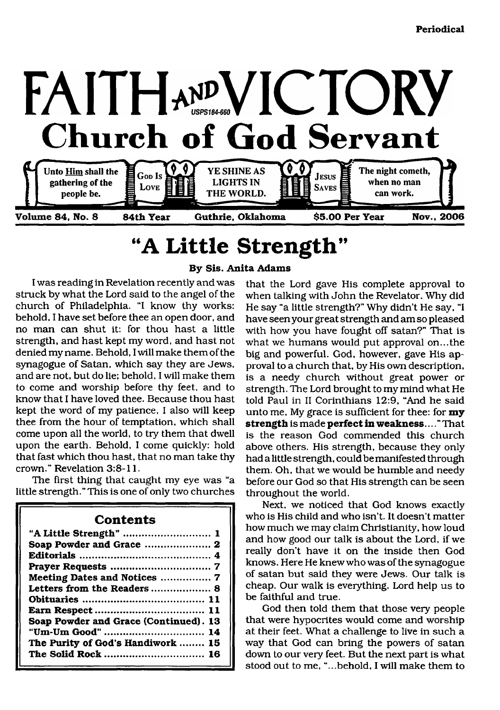

# <span id="page-0-0"></span>**"A Little Strength"**

**By Sis. Anita Adams**

I was reading in Revelation recently and was struck by what the Lord said to the angel of the church of Philadelphia. "I know thy works: behold, I have set before thee an open door, and no man can shut it: for thou hast a little strength, and hast kept my word, and hast not denied my name. Behold, I will make them of the synagogue of Satan, which say they are Jews, and are not, but do lie; behold, I will make them to come and worship before thy feet, and to know that I have loved thee. Because thou hast kept the word of my patience, I also will keep thee from the hour of temptation, which shall come upon all the world, to try them that dwell upon the earth. Behold, I come quickly: hold that fast which thou hast, that no man take thy crown." Revelation 3:8-11.

The first thing that caught my eye was "a little strength." This is one of only two churches

| <b>Contents</b>                       |
|---------------------------------------|
| "A Little Strength"  1                |
| Soap Powder and Grace  2              |
|                                       |
|                                       |
| Meeting Dates and Notices  7          |
| Letters from the Readers 8            |
|                                       |
|                                       |
| Soap Powder and Grace (Continued). 13 |
| "Um-Um Good"  14                      |
| The Purity of God's Handiwork  15     |
| The Solid Rock  16                    |

that the Lord gave His complete approval to when talking with John the Revelator. Why did He say "a little strength?" Why didn't He say, "I have seen your great strength and am so pleased with how you have fought off satan?" That is what we humans would put approval on...the big and powerful. God, however, gave His approval to a church that, by His own description, is a needy church without great power or strength. The Lord brought to my mind what He told Paul in II Corinthians 12:9, "And he said unto me. My grace is sufficient for thee: for **my strength** is made **perfect in weakness.**..." That is the reason God commended this church above others. His strength, because they only had a little strength, could be manifested through them. Oh, that we would be humble and needy before our God so that His strength can be seen throughout the world.

Next, we noticed that God knows exactly who is His child and who isn't. It doesn't matter how much we may claim Christianity, how loud and how good our talk is about the Lord, if we really don't have it on the inside then God knows. Here He knew who was of the synagogue of satan but said they were Jews. Our talk is cheap. Our walk is everything. Lord help us to be faithful and true.

God then told them that those very people that were hypocrites would come and worship at their feet. What a challenge to live in such a way that God can bring the powers of satan down to our very feet. But the next part is what stood out to me, "...behold, I will make them to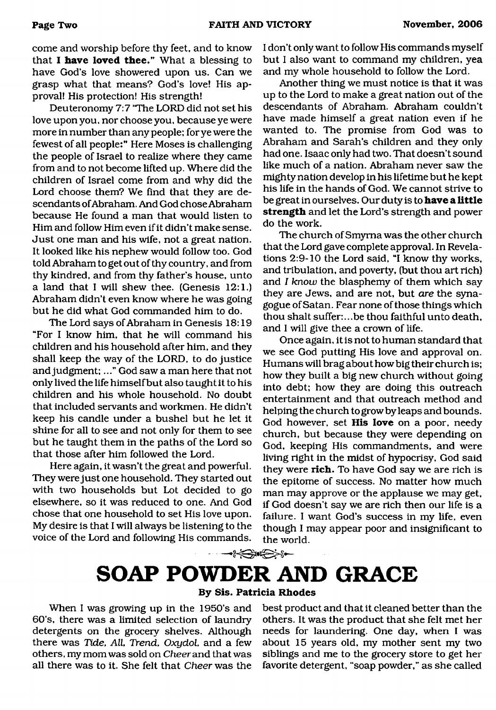come and worship before thy feet, and to know that **I have loved thee."** What a blessing to have God's love showered upon us. Can we grasp what that means? God's love! His approval! His protection! His strength!

Deuteronomy 7:7 'The LORD did not set his love upon you, nor choose you, because ye were more in number than any people; for ye were the fewest of all people:" Here Moses is challenging the people of Israel to realize where they came from and to not become lifted up. Where did the children of Israel come from and why did the Lord choose them? We find that they are descendants of Abraham. And God chose Abraham because He found a man that would listen to Him and follow Him even if it didn't make sense. Just one man and his wife, not a great nation. It looked like his nephew would follow too. God told Abraham to get out of thy country, and from thy kindred, and from thy father's house, unto a land that I will shew thee. (Genesis 12:1.) Abraham didn't even know where he was going but he did what God commanded him to do.

The Lord says of Abraham in Genesis 18:19 "For I know him, that he will command his children and his household after him, and they shall keep the way of the LORD, to do justice and judgment;..." God saw a man here that not only lived the life himself but also taught it to his children and his whole household. No doubt that included servants and workmen. He didn't keep his candle under a bushel but he let it shine for all to see and not only for them to see but he taught them in the paths of the Lord so that those after him followed the Lord.

Here again, it wasn't the great and powerful. They were just one household. They started out with two households but Lot decided to go elsewhere, so it was reduced to one. And God chose that one household to set His love upon. My desire is that I will always be listening to the voice of the Lord and following His commands.

I don't only want to follow His commands myself but I also want to command my children, yea and my whole household to follow the Lord.

Another thing we must notice is that it was up to the Lord to make a great nation out of the descendants of Abraham. Abraham couldn't have made himself a great nation even if he wanted to. The promise from God was to Abraham and Sarah's children and they only had one. Isaac only had two. That doesn't sound like much of a nation. Abraham never saw the mighty nation develop in his lifetime but he kept his life in the hands of God. We cannot strive to be great in ourselves. Our duty is to **have a little strength** and let the Lord's strength and power do the work.

The church of Smyrna was the other church that the Lord gave complete approval. In Revelations 2:9-10 the Lord said, "I know thy works, and tribulation, and poverty, (but thou art rich) and *I know* the blasphemy of them which say they are Jews, and are not, but *are* the synagogue of Satan. Fear none of those things which thou shalt suffer:...be thou faithful unto death, and I will give thee a crown of life.

Once again, it is not to human standard that we see God putting His love and approval on. Humans will brag about how big their church is; how they built a big new church without going into debt; how they are doing this outreach entertainment and that outreach method and helping the church to grow by leaps and bounds. God however, set **His love** on a poor, needy church, but because they were depending on God, keeping His commandments, and were living right in the midst of hypocrisy, God said they were **rich.** To have God say we are rich is the epitome of success. No matter how much man may approve or the applause we may get, if God doesn't say we are rich then our life is a failure. I want God's success in my life, even though I may appear poor and insignificant to the world.

## **SOAP POWDER AND GRACE By Sis. Patricia Rhodes**

<del>▁▁▁▂<sub></sup></sub></del><sub></sub><sub></sup><sup></sup><sup></sup></sub>

<span id="page-1-0"></span>When I was growing up in the 1950's and best product and that it cleaned better than the 60's, there was a limited selection of laundry others. It was the product that she felt met her detergents on the grocery shelves. Although needs for laundering. One day, when I was there was *Tide, All*, *Trend, Oxydol,* and a few about 15 years old, my mother sent my two others, my mom was sold on *Cheer* and that was siblings and me to the grocery store to get her all there was to it. She felt that *Cheer* was the favorite detergent, "soap powder," as she called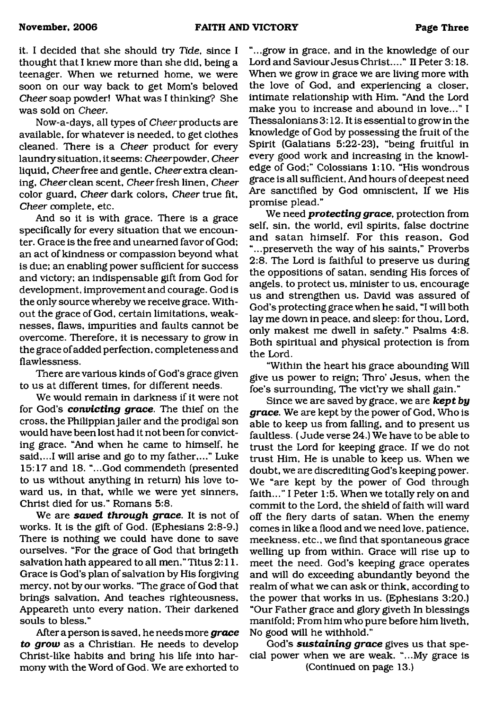it. I decided that she should try *Tide,* since I thought that I knew more than she did, being a teenager. When we returned home, we were soon on our way back to get Mom's beloved *Cheer* soap powder! What was I thinking? She was sold on *Cheer.*

Now-a-days, all types of *Cheer* products are available, for whatever is needed, to get clothes cleaned. There is a *Cheer* product for every laundry situation, it seems: Cheerpowder, *Cheer* liquid. *Cheer* free and gentle. *Cheer* extra cleaning, *Cheer* clean scent. *Cheer* fresh linen, *Cheer* color guard, *Cheer* dark colors, *Cheer* true fit, *Cheer* complete, etc.

And so it is with grace. There is a grace specifically for every situation that we encounter. Grace is the free and unearned favor of God; an act of kindness or compassion beyond what is due; an enabling power sufficient for success and victory; an indispensable gift from God for development, improvement and courage. God is the only source whereby we receive grace. Without the grace of God, certain limitations, weaknesses, flaws, impurities and faults cannot be overcome. Therefore, it is necessary to grow in the grace of added perfection, completeness and flawlessness.

There are various kinds of God's grace given to us at different times, for different needs.

We would remain in darkness if it were not for God's *convicting grace*. The thief on the cross, the Philippian jailer and the prodigal son would have been lost had it not been for convicting grace. "And when he came to himself, he said,...I will arise and go to my father,..." Luke 15:17 and 18. "...God commendeth (presented to us without anything in return) his love toward us, in that, while we were yet sinners, Christ died for us." Romans 5:8.

We are *saved through grace.* It is not of works. It is the gift of God. (Ephesians 2:8-9.) There is nothing we could have done to save ourselves. "For the grace of God that bringeth salvation hath appeared to all men," Titus 2:11. Grace is God's plan of salvation by His forgiving mercy, not by our works. "The grace of God that brings salvation, And teaches righteousness, Appeareth unto every nation, Their darkened souls to bless."

After a person is saved, he needs more *grace to grow* as a Christian. He needs to develop Christ-like habits and bring his life into harmony with the Word of God. We are exhorted to

"...grow in grace, and in the knowledge of our Lord and Saviour Jesus Christ...." II Peter 3:18. When we grow in grace we are living more with the love of God, and experiencing a closer, intimate relationship with Him. "And the Lord make you to increase and abound in love..." I Thessalonians 3:12. It is essential to grow in the knowledge of God by possessing the fruit of the Spirit (Galatians 5:22-23), "being fruitful in every good work and increasing in the knowledge of God;" Colossians 1:10. "His wondrous grace is all sufficient, And hours of deepest need Are sanctified by God omniscient, If we His promise plead."

We need *protecting grace,* protection from self, sin, the world, evil spirits, false doctrine and satan himself. For this reason, God "...preserveth the way of his saints," Proverbs 2:8. The Lord is faithful to preserve us during the oppositions of satan, sending His forces of angels, to protect us, minister to us, encourage us and strengthen us. David was assured of God's protecting grace when he said, "I will both lay me down in peace, and sleep: for thou, Lord, only makest me dwell in safety." Psalms 4:8. Both spiritual and physical protection is from the Lord.

"Within the heart his grace abounding Will give us power to reign; Thro' Jesus, when the foe's surrounding, The vict'ry we shall gain."

Since we are saved by grace, we are *kept by grace.* We are kept by the power of God, Who is able to keep us from falling, and to present us faultless. (Jude verse 24.) We have to be able to trust the Lord for keeping grace. If we do not trust Him, He is unable to keep us. When we doubt, we are discrediting God's keeping power. We "are kept by the power of God through faith..." I Peter 1:5. When we totally rely on and commit to the Lord, the shield of faith will ward off the fiery darts of satan. When the enemy comes in like a flood and we need love, patience, meekness, etc., we find that spontaneous grace welling up from within. Grace will rise up to meet the need. God's keeping grace operates and will do exceeding abundantly beyond the realm of what we can ask or think, according to the power that works in us. (Ephesians 3:20.) "Our Father grace and glory giveth In blessings manifold; From him who pure before him liveth, No good will he withhold."

God's *sustaining grace* gives us that special power when we are weak. "...My grace is (Continued on page 13.)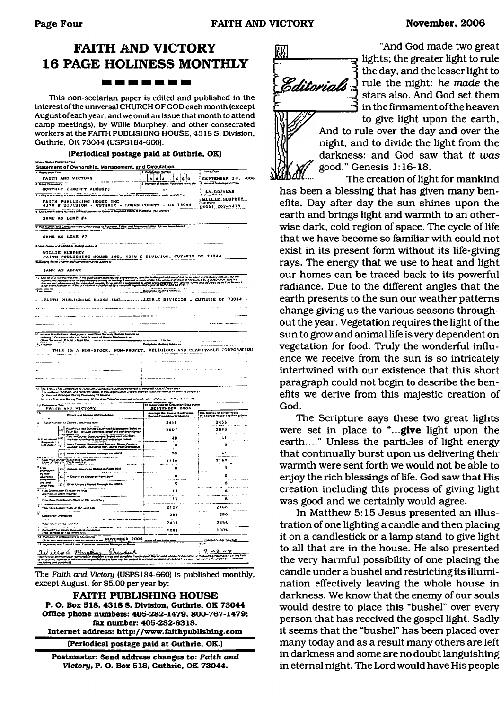## **FAITH AND VICTORY 16 PAGE HOLINESS MONTHLY** -------

This non-sectarian paper is edited and published in the interest of the universal CHURCH OF GOD each month (except August of each year, and we omit an issue that month to attend camp meetings), by Willie Murphey, and other consecrated workers at the FAITH PUBLISHING HOUSE. 4318 S. Division. Guthrie. OK 73044 (USPS184-660).

#### **(Periodical postage paid at Guthrie, OK)**

| Statement of Ownership, Management, and Circulation                                                                                                                                                                                                                                                                                                            |                                                                                    |                                                                             |
|----------------------------------------------------------------------------------------------------------------------------------------------------------------------------------------------------------------------------------------------------------------------------------------------------------------------------------------------------------------|------------------------------------------------------------------------------------|-----------------------------------------------------------------------------|
| Publication Fabri                                                                                                                                                                                                                                                                                                                                              | $\overline{\mathbf{z}}$                                                            | <b><i>A Program</i></b>                                                     |
| PAITH AND VICTORY<br><b>I have Frequency</b>                                                                                                                                                                                                                                                                                                                   | $s a  +  s s $ o<br>œ                                                              | SEPTEMBER 28, 2006<br><b>Substitution Property</b>                          |
| MONTHLY (EXCEPT AUGUST)                                                                                                                                                                                                                                                                                                                                        |                                                                                    |                                                                             |
| F. Company Name<br>g Alisens at Krisin Diliga at Hapisal                                                                                                                                                                                                                                                                                                       | an chiat perdany (Street, cds, clouring, seater, and L'arriv)                      | $\frac{1}{2}$                                                               |
| FAITH PUBLISHING HOUSE INC<br>4318 S DIVISION - GUTHRIE - LOGAN COUNTY - OK 73044                                                                                                                                                                                                                                                                              |                                                                                    | MILLIE MURPHEY.                                                             |
| If Gungmin Nating Address of Healquaners or General Business Office of Publisher (Notare                                                                                                                                                                                                                                                                       |                                                                                    | 14051 282-1479                                                              |
| SAME AS LINE #4                                                                                                                                                                                                                                                                                                                                                |                                                                                    |                                                                             |
| 0. Audi huama salo Complano Malong Auknowas or Publisher, Editor, and Manusens Editor (Do not beans black)                                                                                                                                                                                                                                                     |                                                                                    |                                                                             |
| Published Church of<br><b>STANDARD PARTS ARRAIG</b>                                                                                                                                                                                                                                                                                                            |                                                                                    |                                                                             |
| SAME AS LINE #7                                                                                                                                                                                                                                                                                                                                                |                                                                                    |                                                                             |
|                                                                                                                                                                                                                                                                                                                                                                |                                                                                    |                                                                             |
| <b>WILLIE HURPHEY</b><br>FAITH PUBLISHING HOUSE INC, 4318 S DIVISION, GUTHRIE OK 73044                                                                                                                                                                                                                                                                         |                                                                                    |                                                                             |
| Managing Boiler (Marie and complete maning add                                                                                                                                                                                                                                                                                                                 |                                                                                    |                                                                             |
| SAME AS ABOVE                                                                                                                                                                                                                                                                                                                                                  |                                                                                    |                                                                             |
| יתונות והייתה המוריקות, שם קראות מוריקות והייתה המוריקות של המוריקות והמוריקות ב-2 מינוגה הייתור הייתה ובין המ<br>באורך ה-6 שהייתה שבית המוריקות המוריקות של המוריקות המוריקות המוריקות המוריקות בשנים והמוריקות המוריקות במוריק                                                                                                                               |                                                                                    | ry boltoma by br<br>Children of the                                         |
| by a version<br>sing 1 personal<br>ut by a park versi<br>.<br>Parties and addresses of its ride-alpha owner, it consist<br>इस्को बार्जन केवा जनगण में शाह सर्वालक्षेत्रक व patiened by a                                                                                                                                                                       | e grang gripesane<br>aree dit Pasther in<br>e bret, greatek<br>10 martenna 1<br>s. |                                                                             |
| Pus Hang<br>$\sim$<br>k.                                                                                                                                                                                                                                                                                                                                       |                                                                                    | <b>Construction Construction</b>                                            |
|                                                                                                                                                                                                                                                                                                                                                                |                                                                                    |                                                                             |
|                                                                                                                                                                                                                                                                                                                                                                |                                                                                    |                                                                             |
|                                                                                                                                                                                                                                                                                                                                                                |                                                                                    |                                                                             |
|                                                                                                                                                                                                                                                                                                                                                                |                                                                                    |                                                                             |
|                                                                                                                                                                                                                                                                                                                                                                |                                                                                    |                                                                             |
| 11 Income Brastmasors, Martyagin și anul Other Saburg Habbert Dame<br>- maturig 1 Porcent di Infa a de Arnoak of Bonds, Martyngolf, In<br>- Other Securities, Il Prate, 1968, Infa                                                                                                                                                                             | <b>Continued State</b>                                                             |                                                                             |
| a mam<br>$\sim$ 10 $\sim$                                                                                                                                                                                                                                                                                                                                      | Complete Modely Autorss                                                            | <b><i>Contractor Services</i></b><br>.                                      |
| THIS IS A NON-STOCK, NON-PROPIT, RELIGIOUS AND CHARTTABLE CORPORATION                                                                                                                                                                                                                                                                                          |                                                                                    |                                                                             |
| contractors.<br>The Status play completion by restprate a game along authorized to med all mospools called (Chock are r                                                                                                                                                                                                                                        |                                                                                    |                                                                             |
| i el essi unu<br>enchant, und ranguede saak<br>-----<br>The purpose, fully<br>32 Flori Post Cham<br><b>ا پہنچ کا سو</b><br>U Hiss Chungiez Dunng Pricede of 12 Months (Pub                                                                                                                                                                                     | n ke t<br>.<br>The moth flux stateshoot of<br>بادات المربوب                        |                                                                             |
| n Tale<br>u Pe                                                                                                                                                                                                                                                                                                                                                 | <b>Colorado Colorado</b><br>المعدلة الحد                                           |                                                                             |
| <b>FAITH AND VICTORY</b>                                                                                                                                                                                                                                                                                                                                       | SEPTEMBER 2006                                                                     | of Employees<br>Nearest 10 Prix                                             |
| Extent and Nature of Circuist                                                                                                                                                                                                                                                                                                                                  | Average No. Cupus Each lean<br>During Procoding 12 Months                          |                                                                             |
| Total Nurritier (2 Copies, that press nint                                                                                                                                                                                                                                                                                                                     | 2411                                                                               | 2456                                                                        |
| (1) Pacifies enter Darvie County trail behind played on.<br>[11] Pacifi 1611 (ancient american) play and and any operation                                                                                                                                                                                                                                     | 2007                                                                               | 2048                                                                        |
| (2) The County Summaring Stated on Form 3541<br>iraal ahbu<br>Roqaasiicz<br>Colsiaal                                                                                                                                                                                                                                                                           | 48                                                                                 | 51                                                                          |
| (1) Sales Frough Daams and Camps, Etnis Venton                                                                                                                                                                                                                                                                                                                 | $\mathbf o$                                                                        | Ü                                                                           |
| 41 Eliner Clesses Maded 1 Hrough the USPS                                                                                                                                                                                                                                                                                                                      | 55                                                                                 | 61                                                                          |
| $\begin{array}{l} \hline \text{In a 1.5,} \text{In a 1.5,} \text{In a 1.5,} \text{In a 1.5,} \text{In a 1.5,} \text{In a 1.5,} \text{In a 1.5,} \text{In a 1.5,} \text{In a 1.5,} \text{In a 1.5,} \text{In a 1.5,} \text{In a 1.5,} \text{In a 1.5,} \text{In a 1.5,} \text{In a 1.5,} \text{In a 1.5,} \text{In a 1.5,} \text{In a 1.5,} \text{In a 1.5,} \$ | 3110                                                                               | 2160                                                                        |
| rea<br>is si<br>$\sim$<br>ou Curry, as Mains on Farm 3541<br>$\sim$ $\sim$                                                                                                                                                                                                                                                                                     | $\mathbf{o}$                                                                       | ۰                                                                           |
| E.<br>(2) in County of Slowe on Form 2641                                                                                                                                                                                                                                                                                                                      | $\mathbf{U}$                                                                       | ٥                                                                           |
| n era<br>[22] Other Clausus Market Freeigh the USPS                                                                                                                                                                                                                                                                                                            | $\mathbf 0$                                                                        | o                                                                           |
| $\sim$<br>مسد<br>فقالنا عجاجته<br>in a utermant)<br>$^{ce}$                                                                                                                                                                                                                                                                                                    | 17                                                                                 | 6                                                                           |
| tetal From Distribution (Sum of The and The )                                                                                                                                                                                                                                                                                                                  | w                                                                                  | 6                                                                           |
| Tour Distribution (Sum of the and 150)                                                                                                                                                                                                                                                                                                                         | 2127                                                                               | 2166                                                                        |
| Concentration Distances                                                                                                                                                                                                                                                                                                                                        | 284                                                                                | 290                                                                         |
| والأحاضر المكادات والتكاد لطما                                                                                                                                                                                                                                                                                                                                 | 2411                                                                               | 2456                                                                        |
|                                                                                                                                                                                                                                                                                                                                                                | 1001                                                                               | 100%                                                                        |
| Avrilini Paul Andres (Seguintino L.)<br>(156-Genderd by 1941 Arhun 190)<br>Publication of Statement of George pres                                                                                                                                                                                                                                             |                                                                                    |                                                                             |
| N WELDWALE NOVERHER 2006<br><b>Richardson request</b><br>wasa Marager, ar Owner<br>they are the off pay Pupility by                                                                                                                                                                                                                                            | a china poblacio                                                                   | كاواجبابه عادا الواطرية<br>$\overline{m}$                                   |
| Wacuden<br>ad ieru <u>2 maart ag 10</u>                                                                                                                                                                                                                                                                                                                        |                                                                                    | L<br>スラ レや                                                                  |
| 'n.                                                                                                                                                                                                                                                                                                                                                            | sland that anyone who kereans san<br>19 km<br>n israele<br>د عدد د ه               | or modulating information on this form<br>FILL WAS PIL STORE CALL WATCH ONE |

The *Faith and Victory* (USPS184-660) is published monthly, except August, for \$5,00 per year by:

**FAITH PUBLISHING HOUSE P. O. Box 518, 4318 S. Division, Guthrie. OK 73044 Office phone numbers: 405-282-1479, 800-767-1479; fax number: 405-282-6318. Internet address: <http://www.faithpublishing.com>**

**(Periodical postage paid at Guthrie, OK.)**

**Postmaster: Send address changes to:** *Faith and. Victory,* **P. O. Box 518, Guthrie. OK 73044.**



"And God made two great lights; the greater light to rule the day, and the lesser light to rule the night: *he made* the stars also. And God set them in the firmament of the heaven

to give light upon the earth, And to rule over the day and over the night, and to divide the light from the darkness: and God saw that *it was* good." Genesis 1:16-18.

The creation of light for mankind has been a blessing that has given many benefits. Day after day the sun shines upon the earth and brings light and warmth to an otherwise dark, cold region of space. The cycle of life that we have become so familiar with could not exist in its present form without its life-giving rays. The energy that we use to heat and light our homes can be traced back to its powerful radiance. Due to the different angles that the earth presents to the sun our weather patterns change giving us the various seasons throughout the year. Vegetation requires the light of the sun to grow and animal life is very dependent on vegetation for food. Truly the wonderful influence we receive from the sun is so intricately intertwined with our existence that this short paragraph could not begin to describe the benefits we derive from this majestic creation of God.

The Scripture says these two great lights were set in place to **"...give** light upon the earth...." Unless the particles of light energy that continually burst upon us delivering their warmth were sent forth we would not be able to enjoy the rich blessings of life. God saw that His creation including this process of giving light was good and we certainly would agree.

In Matthew 5:15 Jesus presented an illustration of one lighting a candle and then placing it on a candlestick or a lamp stand to give light to all that are in the house. He also presented the very harmful possibility of one placing the candle under a bushel and restricting its illumination effectively leaving the whole house in darkness. We know that the enemy of our souls would desire to place this "bushel" over every person that has received the gospel light. Sadly it seems that the "bushel" has been placed over many today and as a result many others are left in darkness and some are no doubt languishing in eternal night. The Lord would have His people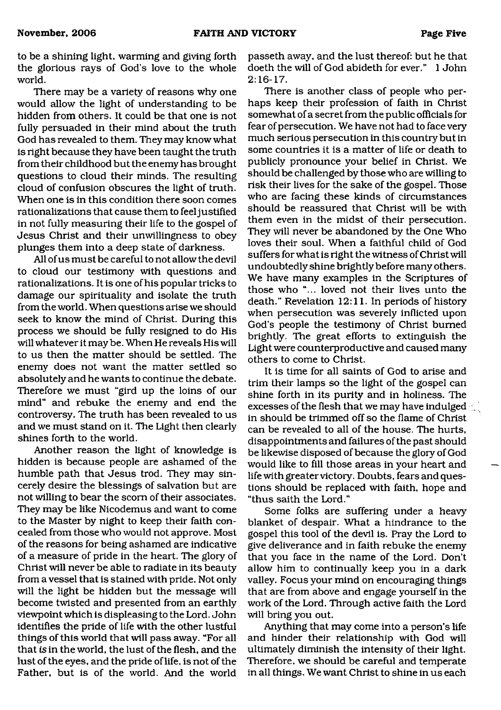to be a shining light, warming and giving forth the glorious rays of God's love to the whole world.

There may be a variety of reasons why one would allow the light of understanding to be hidden from others. It could be that one is not fully persuaded in their mind about the truth God has revealed to them. They may know what is right because they have been taught the truth from their childhood but the enemy has brought questions to cloud their minds. The resulting cloud of confusion obscures the light of truth. When one is in this condition there soon comes rationalizations that cause them to feel justified in not fully measuring their life to the gospel of Jesus Christ and their unwillingness to obey plunges them into a deep state of darkness.

All of us must be careful to not allow the devil to cloud our testimony with questions and rationalizations. It is one of his popular tricks to damage our spirituality and isolate the truth from the world. When questions arise we should seek to know the mind of Christ. During this process we should be fully resigned to do His will whatever it may be. When He reveals His will to us then the matter should be settled. The enemy does not want the matter settled so absolutely and he wants to continue the debate. Therefore we must "gird up the loins of our mind" and rebuke the enemy and end the controversy. The truth has been revealed to us and we must stand on it. The Light then clearly shines forth to the world.

Another reason the light of knowledge is hidden is because people are ashamed of the humble path that Jesus trod. They may sincerely desire the blessings of salvation but are not willing to bear the scorn of their associates. They may be like Nicodemus and want to come to the Master by night to keep their faith concealed from those who would not approve. Most of the reasons for being ashamed are indicative of a measure of pride in the heart. The glory of Christ will never be able to radiate in its beauty from a vessel that is stained with pride. Not only will the light be hidden but the message will become twisted and presented from an earthly viewpoint which is displeasing to the Lord. John identifies the pride of life with the other lustful things of this world that will pass away. "For all that is in the world, the lust of the flesh, and the lust of the eyes, and the pride of life, is not of the Father, but is of the world. And the world passeth away, and the lust thereof: but he that doeth the will of God abideth for ever." 1 John 2:16-17.

There is another class of people who perhaps keep their profession of faith in Christ somewhat of a secret from the public officials for fear of persecution. We have not had to face very much serious persecution in this country but in some countries it is a matter of life or death to publicly pronounce your belief in Christ. We should be challenged by those who are willing to risk their lives for the sake of the gospel. Those who are facing these kinds of circumstances should be reassured that Christ will be with them even in the midst of their persecution. They will never be abandoned by the One Who loves their soul. When a faithful child of God suffers for what is right the witness of Christ will undoubtedly shine brightly before many others. We have many examples in the Scriptures of those who "... loved not their lives unto the death." Revelation 12:11. In periods of history when persecution was severely inflicted upon God's people the testimony of Christ burned brightly. The great efforts to extinguish the Light were counterproductive and caused many others to come to Christ.

It is time for all saints of God to arise and trim their lamps so the light of the gospel can shine forth in its purity and in holiness. The excesses of the flesh that we may have indulged in should be trimmed off so the flame of Christ can be revealed to all of the house. The hurts, disappointments and failures of the past should be likewise disposed of because the glory of God would like to fill those areas in your heart and life with greater victory. Doubts, fears and questions should be replaced with faith, hope and "thus saith the Lord."

Some folks are suffering under a heavy blanket of despair. What a hindrance to the gospel this tool of the devil is. Pray the Lord to give deliverance and in faith rebuke the enemy that you face in the name of the Lord. Don't allow him to continually keep you in a dark valley. Focus your mind on encouraging things that are from above and engage yourself in the work of the Lord. Through active faith the Lord will bring you out.

Anything that may come into a person's life and hinder their relationship with God will ultimately diminish the intensity of their light. Therefore, we should be careful and temperate in all things. We want Christ to shine in us each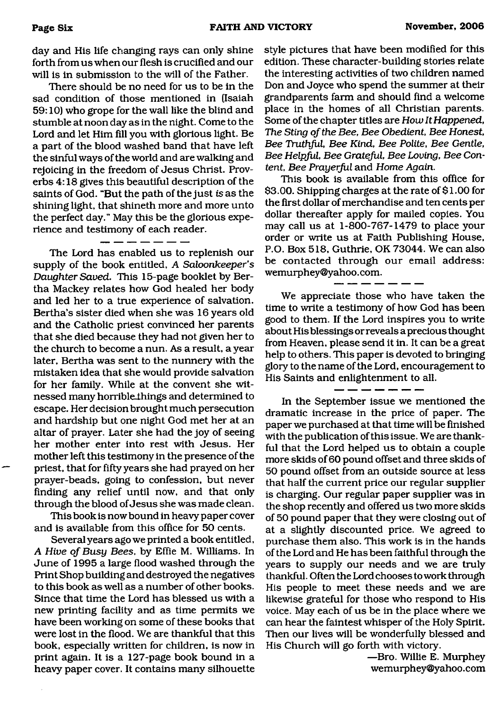day and His life changing rays can only shine forth from us when our flesh is crucified and our will is in submission to the will of the Father.

There should be no need for us to be in the sad condition of those mentioned in (Isaiah 59:10) who grope for the wall like the blind and stumble at noon day as in the night. Come to the Lord and let Him fill you with glorious light. Be a part of the blood washed band that have left the sinful ways of the world and are walking and rejoicing in the freedom of Jesus Christ. Proverbs 4:18 gives this beautiful description of the saints of God. "But the path of the just is as the shining light, that shineth more and more unto the perfect day." May this be the glorious experience and testimony of each reader.

The Lord has enabled us to replenish our supply of the book entitled, *A Saloonkeeper's Daughter Saved.* This 15-page booklet by Bertha Mackey relates how God healed her body and led her to a true experience of salvation. Bertha's sister died when she was 16 years old and the Catholic priest convinced her parents that she died because they had not given her to the church to become a nun. As a result, a year later, Bertha was sent to the nunnery with the mistaken idea that she would provide salvation for her family. While at the convent she witnessed many horrible things and determined to escape. Her decision brought much persecution and hardship but one night God met her at an altar of prayer. Later she had the joy of seeing her mother enter into rest with Jesus. Her mother left this testimony in the presence of the priest, that for fifty years she had prayed on her prayer-beads, going to confession, but never finding any relief until now, and that only through the blood of Jesus she was made clean.

This book is now bound in heavy paper cover and is available from this office for 50 cents.

Several years ago we printed a book entitled, *A Hive of Busy Bees,* by Effie M. Williams. In June of 1995 a large flood washed through the Print Shop building and destroyed the negatives to this book as well as a number of other books. Since that time the Lord has blessed us with a new printing facility and as time permits we have been working on some of these books that were lost in the flood. We are thankful that this book, especially written for children, is now in print again. It is a 127-page book bound in a heavy paper cover. It contains many silhouette style pictures that have been modified for this edition. These character-building stories relate the interesting activities of two children named Don and Joyce who spend the summer at their grandparents farm and should find a welcome place in the homes of all Christian parents. Some of the chapter titles are *How It Happened, The Sting of the Bee, Bee Obedient, Bee Honest, Bee Truthful, Bee Kind, Bee Polite, Bee Gentle, Bee Helpful, Bee Grateful, Bee Loving, Bee Content, Bee Prayerful* and *Home Again.*

This book is available from this office for \$3.00. Shipping charges at the rate of \$1.00 for the first dollar of merchandise and ten cents per dollar thereafter apply for mailed copies. You may call us at 1-800-767-1479 to place your order or write us at Faith Publishing House, P.O. Box 518, Guthrie, OK 73044. We can also be contacted through our email address: wemurphey@yahoo. com.

We appreciate those who have taken the time to write a testimony of how God has been good to them. If the Lord inspires you to write about His blessings or reveals a precious thought from Heaven, please send it in. It can be a great help to others. This paper is devoted to bringing glory to the name of the Lord, encouragement to His Saints and enlightenment to all.

In the September issue we mentioned the dramatic increase in the price of paper. The paper we purchased at that time will be finished with the publication of this issue. We are thankful that the Lord helped us to obtain a couple more skids of 60 pound offset and three skids of 50 pound offset from an outside source at less that half the current price our regular supplier is charging. Our regular paper supplier was in the shop recently and offered us two more skids of 50 pound paper that they were closing out of at a slightly discounted price. We agreed to purchase them also. This work is in the hands of the Lord and He has been faithful through the years to supply our needs and we are truly thankful. Often the Lord chooses to work through His people to meet these needs and we are likewise grateful for those who respond to His voice. May each of us be in the place where we can hear the faintest whisper of the Holy Spirit. Then our lives will be wonderfully blessed and His Church will go forth with victory.

> —Bro. Willie E. Murphey [wemurphey@yahoo.com](mailto:wemurphey@yahoo.com)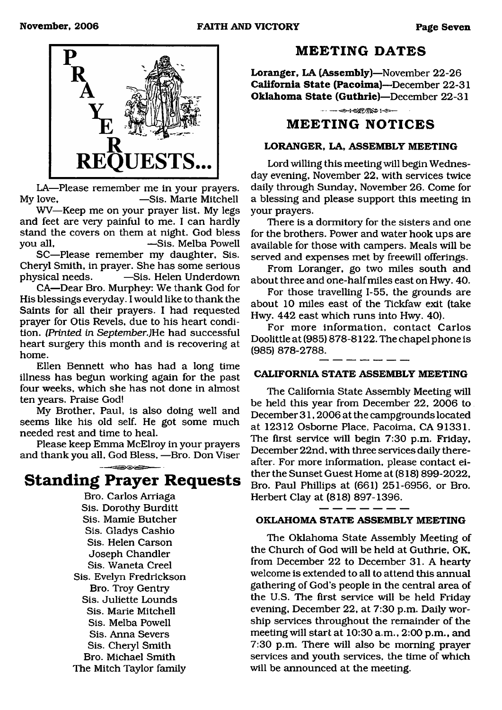

LA—Please remember me in your prayers.<br>My love, —Sis. Marie Mitchell -Sis. Marie Mitchell

WV—Keep me on your prayer list. My legs and feet are very painful to me. I can hardly stand the covers on them at night. God bless<br>vou all. -Sis. Melba Powell -Sis. Melba Powell

SC—Please remember my daughter. Sis. Cheryl Smith, in prayer. She has some serious physical needs. —Sis. Helen Underdown

CA—Dear Bro. Murphey: We thank God for His blessings everyday. I would like to thank the Saints for all their prayers. I had requested prayer for Otis Revels, due to his heart condition. *(Printed in September*.)He had successful heart surgery this month and is recovering at home.

Ellen Bennett who has had a long time illness has begun working again for the past four weeks, which she has not done in almost ten years. Praise God!

My Brother, Paul, is also doing well and seems like his old self. He got some much needed rest and time to heal.

Please keep Emma McElroy in your prayers and thank you all, God Bless, —Bro. Don Viser

## **Standing Prayer Requests**

Bro. Carlos Arriaga Sis. Dorothy Burditt Sis. Mamie Butcher Sis. Gladys Cashio Sis. Helen Carson Joseph Chandler Sis. Waneta Creel Sis. Evelyn Fredrickson Bro. Troy Gentry Sis. Juliette Lounds Sis. Marie Mitchell Sis. Melba Powell Sis. Anna Severs Sis. Cheryl Smith Bro. Michael Smith The Mitch Taylor family

### **MEETING DATES**

**Loranger, LA (Assembly)**—November 22-26 **California State (Pacoima)**—December 22-31 **Oklahoma State (Guthrie)**—December 22-31

 $\rightarrow$   $\rightarrow$   $\rightarrow$   $\rightarrow$   $-$ 

### **MEETING NOTICES**

#### **LORANGER, LA, ASSEMBLY MEETING**

Lord willing this meeting will begin Wednesday evening, November 22, with services twice daily through Sunday, November 26. Come for a blessing and please support this meeting in your prayers.

There is a dormitory for the sisters and one for the brothers. Power and water hook ups are available for those with campers. Meals will be served and expenses met by freewill offerings.

From Loranger, go two miles south and about three and one-half miles east on Hwy. 40.

For those travelling 1-55, the grounds are about 10 miles east of the Tickfaw exit (take Hwy. 442 east which runs into Hwy. 40).

For more information, contact Carlos Doolittle at (985) 878-8122. The chapel phone is (985) 878-2788.

#### **CALIFORNIA STATE ASSEMBLY MEETING**

The California State Assembly Meeting will be held this year from December 22, 2006 to December 31,2006 at the campgrounds located at 12312 Osborne Place, Pacoima, CA 91331. The first service will begin 7:30 p.m. Friday, December 22nd, with three services daily thereafter. For more information, please contact either the Sunset Guest Home at (818) 899-2022, Bro. Paul Phillips at (661) 251-6956, or Bro. Herbert Clay at (818) 897-1396.

#### **OKLAHOMA STATE ASSEMBLY MEETING**

The Oklahoma State Assembly Meeting of the Church of God will be held at Guthrie, OK, from December 22 to December 31. A hearty welcome is extended to all to attend this annual gathering of God's people in the central area of the U.S. The first service will be held Friday evening, December 22, at 7:30 p.m. Daily worship services throughout the remainder of the meeting will start at 10:30 a.m., 2:00 p.m., and 7:30 p.m. There will also be morning prayer services and youth services, the time of which will be announced at the meeting.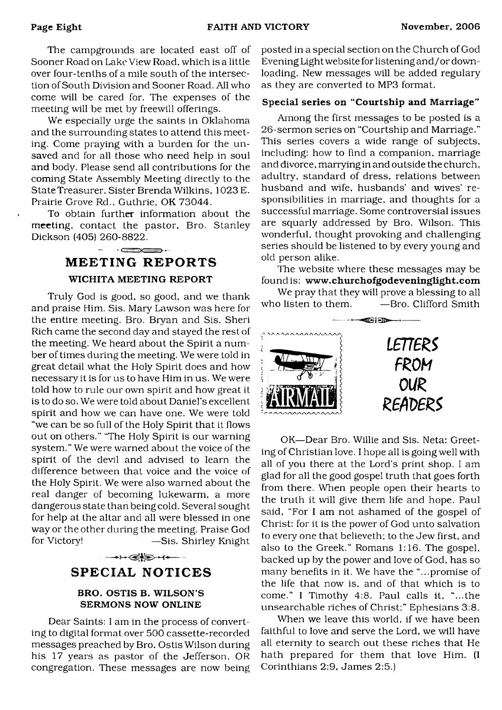The campgrounds are located east off of Sooner Road on Lake View Road, which is a little over four-tenths of a mile south of the intersection of South Division and Sooner Road. All who come will be cared for. The expenses of the meeting will be met by freewill offerings.

We especially urge the saints in Oklahoma and the surrounding states to attend this meeting. Come praying with a burden for the unsaved and for all those who need help in soul and body. Please send all contributions for the coming State Assembly Meeting directly to the State Treasurer. Sister Brenda Wilkins, 1023 E. Prairie Grove Rd., Guthrie, OK 73044.

To obtain further information about the meeting, contact the pastor, Bro. Stanley Dickson (405) 260-8822.

## $\cdot$   $\qquad \qquad$ **MEETING REPORTS WICHITA MEETING REPORT**

Truly God is good, so good, and we thank and praise Him. Sis. Mary Lawson was here for the entire meeting. Bro. Bryan and Sis. Sheri Rich came the second day and stayed the rest of the meeting. We heard about the Spirit a number of times during the meeting. We were told in great detail what the Holy Spirit does and how necessary it is for us to have Him in us. We were told how to rule our own spirit and how great it is to do so. We were told about Daniel's excellent spirit and how we can have one. We were told "we can be so full of the Holy Spirit that it Hows out on others." 'The Holy Spirit is our warning system." We were warned about the voice of the spirit of the devil and advised to learn the difference between that voice and the voice of the Holy Spirit. We were also warned about the real danger of becoming lukewarm, a more dangerous state than being cold. Several sought for help at the altar and all were blessed in one way or the other during the meeting. Praise God for Victory! —Sis. Shirley Knight

## $\longrightarrow \leftarrow \leftarrow \leftarrow$

## **SPECIAL NOTICES**

#### **BRO. OSTIS B. WILSON S SERMONS NOW ONLINE**

Dear Saints: I am in the process of converting to digital format over 500 cassette-recorded messages preached by Bro. Ostis Wilson during his 17 years as pastor of the Jefferson, OR congregation. These messages are now being posted in a special section on the Church of God Evening Light website for listening and/or downloading. New messages will be added regulary as they are converted to MP3 format.

#### **Special series on "Courtship and Marriage"**

Among the first messages to be posted is a 26-sermon series on "Courtship and Marriage." This series covers a wide range of subjects, including: how to find a companion, marriage and divorce, marrying in and outside the church, adultry, standard of dress, relations between husband and wife, husbands' and wives' responsibilities in marriage, and thoughts for a successful marriage. Some controversial issues are squarly addressed by Bro. Wilson. This wonderful, thought provoking and challenging series should be listened to by every young and old person alike.

The website where these messages may be found is: **[www.churchofgodeveninglight.com](http://www.churchofgodeveninglight.com)**

We pray that they will prove a blessing to all who listen to them. - - - - Bro. Clifford Smith



OK—Dear Bro. Willie and Sis. Neta: Greeting of Christian love. I hope all is going well with all of you there at the Lord's print shop. I am glad for all the good gospel truth that goes forth from there. When people open their hearts to the truth it will give them life and hope. Paul said, "For I am not ashamed of the gospel of Christ: for it is the power of God unto salvation to every one that believeth; to the Jew first, and also to the Greek." Romans 1:16. The gospel, backed up by the power and love of God, has so many benefits in it. We have the "...promise of the life that now is, and of that which is to come." I Timothy 4:8. Paul calls it, "...the unsearchable riches of Christ;" Ephesians 3:8.

When we leave this world, if we have been faithful to love and serve the Lord, we will have all eternity to search out these riches that He hath prepared for them that love Him. (I Corinthians 2:9, James 2:5.)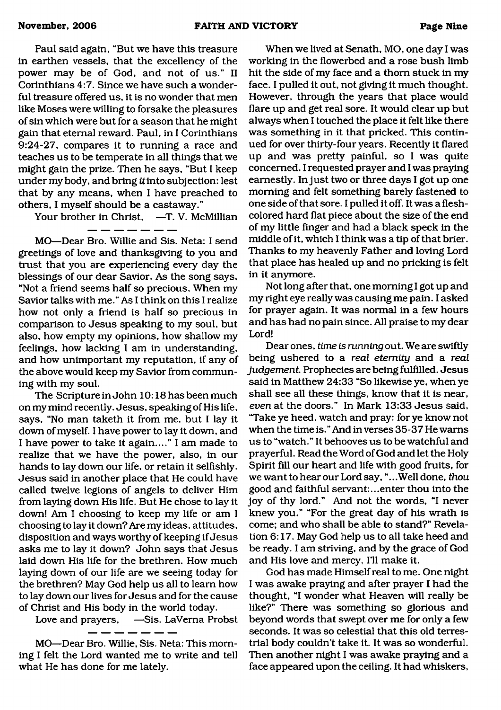Paul said again, "But we have this treasure in earthen vessels, that the excellency of the power may be of God, and not of us." II Corinthians 4:7. Since we have such a wonderful treasure offered us, it is no wonder that men like Moses were willing to forsake the pleasures of sin which were but for a season that he might gain that eternal reward. Paul, in I Corinthians 9:24-27, compares it to running a race and teaches us to be temperate in all things that we might gain the prize. Then he says, "But I keep under my body, and bring itinto subjection: lest that by any means, when I have preached to others, I myself should be a castaway."

Your brother in Christ. —T. V. McMillian

MO—Dear Bro. Willie and Sis. Neta: I send greetings of love and thanksgiving to you and trust that you are experiencing every day the blessings of our dear Savior. As the song says, "Not a friend seems half so precious. When my Savior talks with me." As I think on this I realize how not only a friend is half so precious in comparison to Jesus speaking to my soul, but also, how empty my opinions, how shallow my feelings, how lacking I am in understanding, and how unimportant my reputation, if any of the above would keep my Savior from communing with my soul.

The Scripture in John 10:18 has been much on my mind recently. Jesus, speaking of His life, says, "No man taketh it from me, but I lay it down of myself. I have power to lay it down, and I have power to take it again...." I am made to realize that we have the power, also, in our hands to lay down our life, or retain it selfishly. Jesus said in another place that He could have called twelve legions of angels to deliver Him from laying down His life. But He chose to lay it down! Am I choosing to keep my life or am I choosing to lay it down? Are my ideas, attitudes, disposition and ways worthy of keeping if Jesus asks me to lay it down? John says that Jesus laid down His life for the brethren. How much laying down of our life are we seeing today for the brethren? May God help us all to learn how to lay down our lives for Jesus and for the cause of Christ and His body in the world today.

Love and prayers, —Sis. LaVerna Probst

MO—Dear Bro. Willie, Sis. Neta: This morning I felt the Lord wanted me to write and tell what He has done for me lately.

When we lived at Senath, MO, one day I was working in the flowerbed and a rose bush limb hit the side of my face and a thorn stuck in my face. I pulled it out, not giving it much thought. However, through the years that place would flare up and get real sore. It would clear up but always when I touched the place it felt like there was something in it that pricked. This continued for over thirty-four years. Recently it flared up and was pretty painful, so I was quite concerned. I requested prayer and I was praying earnestly. In just two or three days I got up one morning and felt something barely fastened to one side of that sore. I pulled it off. It was a fleshcolored hard flat piece about the size of the end of my little finger and had a black speck in the middle of it, which I think was a tip of that brier. Thanks to my heavenly Father and loving Lord that place has healed up and no pricking is felt in it anymore.

Not long after that, one morning I got up and my right eye really was causing me pain. I asked for prayer again. It was normal in a few hours and has had no pain since. All praise to my dear Lord!

Dear ones, *time is running* out. We are swiftly being ushered to a *real eternity* and a *real judgement* Prophecies are being fulfilled. Jesus said in Matthew 24:33 "So likewise ye, when ye shall see all these things, know that it is near, *even* at the doors." In Mark 13:33 Jesus said, 'Take ye heed, watch and pray: for ye know not when the time is." And in verses 35-37 He warns us to "watch." It behooves us to be watchful and prayerful. Read the Word of God and let the Holy Spirit fill our heart and life with good fruits, for we want to hear our Lord say, ".. .Well done, *thou* good and faithful servant:...enter thou into the joy of thy lord." And not the words, "I never knew you." "For the great day of his wrath is come; and who shall be able to stand?" Revelation 6:17. May God help us to all take heed and be ready. I am striving, and by the grace of God and His love and mercy, I'll make it.

God has made Himself real to me. One night I was awake praying and after prayer I had the thought, "I wonder what Heaven will really be like?" There was something so glorious and beyond words that swept over me for only a few seconds. It was so celestial that this old terrestrial body couldn't take it. It was so wonderful. Then another night I was awake praying and a face appeared upon the ceiling. It had whiskers,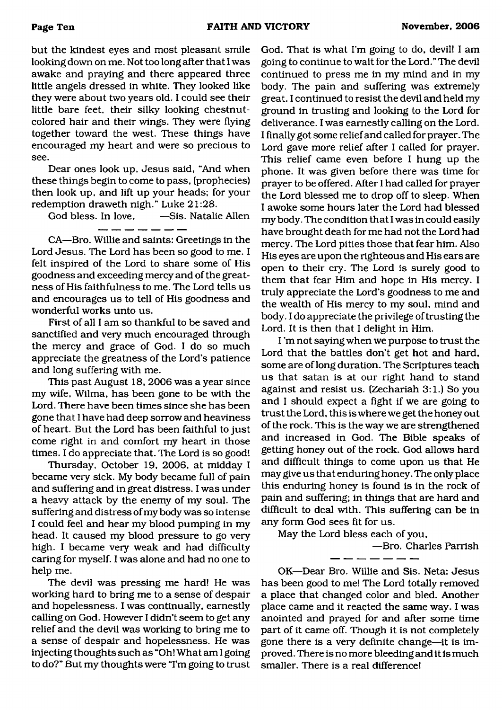but the kindest eyes and most pleasant smile looking down on me. Not too long after that I was awake and praying and there appeared three little angels dressed in white. They looked like they were about two years old. I could see their little bare feet, their silky looking chestnutcolored hair and their wings. They were flying together toward the west. These things have encouraged my heart and were so precious to see.

Dear ones look up, Jesus said, "And when these things begin to come to pass, (prophecies) then look up, and lift up your heads; for your redemption draweth nigh." Luke 21:28.<br>God bless. In love. —Sis. Natali

God Bis. Natalie Allen

CA—Bro. Willie and saints: Greetings in the Lord Jesus. The Lord has been so good to me. I felt inspired of the Lord to share some of His goodness and exceeding mercy and of the greatness of His faithfulness to me. The Lord tells us and encourages us to tell of His goodness and wonderful works unto us.

First of all I am so thankful to be saved and sanctified and very much encouraged through the mercy and grace of God. I do so much appreciate the greatness of the Lord's patience and long suffering with me.

This past August 18, 2006 was a year since my wife, Wilma, has been gone to be with the Lord. There have been times since she has been gone that 1 have had deep sorrow and heaviness of heart. But the Lord has been faithful to just come right in and comfort my heart in those times. I do appreciate that. The Lord is so good!

Thursday. October 19, 2006, at midday I became very sick. My body became full of pain and suffering and in great distress. I was under a heavy attack by the enemy of my soul. The suffering and distress of my body was so intense I could feel and hear my blood pumping in my head. It caused my blood pressure to go very high. I became very weak and had difficulty caring for myself. I was alone and had no one to help me.

The devil was pressing me hard! He was working hard to bring me to a sense of despair and hopelessness. I was continually, earnestly calling on God. However I didn't seem to get any relief and the devil was working to bring me to a sense of despair and hopelessness. He was injecting thoughts such as "Oh! What am I going to do?" But my thoughts were "I'm going to trust God. That is what I'm going to do, devil! I am going to continue to wait for the Lord." The devil continued to press me in my mind and in my body. The pain and suffering was extremely great. I continued to resist the devil and held my ground in trusting and looking to the Lord for deliverance. I was earnestly calling on the Lord. I finally got some relief and called for prayer. The Lord gave more relief after I called for prayer. This relief came even before I hung up the phone. It was given before there was time for prayer to be offered. After I had called for prayer the Lord blessed me to drop off to sleep. When I awoke some hours later the Lord had blessed my body. The condition that I was in could easily have brought death for me had not the Lord had mercy. The Lord pities those that fear him. Also His eyes are upon the righteous and His ears are open to their cry. The Lord is surely good to them that fear Him and hope in His mercy. I truly appreciate the Lord's goodness to me and the wealth of His mercy to my soul, mind and body. I do appreciate the privilege of trusting the Lord. It is then that I delight in Him.

I 'm not saying when we purpose to trust the Lord that the battles don't get hot and hard, some are of long duration. The Scriptures teach us that satan is at our right hand to stand against and resist us. (Zechariah 3:1.) So you and I should expect a fight if we are going to trust the Lord, this is where we get the honey out of the rock. This is the way we are strengthened and increased in God. The Bible speaks of getting honey out of the rock. God allows hard and difficult things to come upon us that He may give us that enduring honey. The only place this enduring honey is found is in the rock of pain and suffering; in things that are hard and difficult to deal with. This suffering can be in any form God sees fit for us.

May the Lord bless each of you,

—Bro. Charles Parrish <u> 2007 - 2008 - 200</u>

OK—Dear Bro. Willie and Sis. Neta: Jesus has been good to me! The Lord totally removed a place that changed color and bled. Another place came and it reacted the same way. I was anointed and prayed for and after some time part of it came off. Though it is not completely gone there is a very definite change—it is improved. There is no more bleeding and it is much smaller. There is a real difference!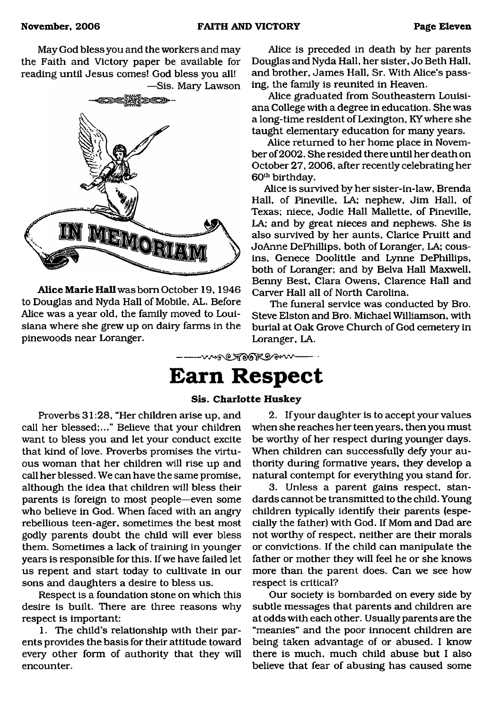May God bless you and the workers and may the Faith and Victory paper be available for reading until Jesus comes! God bless you all!



**Alice Marie Hall** was bom October 19, 1946 to Douglas and Nyda Hall of Mobile, AL. Before Alice was a year old, the family moved to Louisiana where she grew up on dairy farms in the pinewoods near Loranger.

Alice is preceded in death by her parents Douglas and Nyda Hall, her sister, Jo Beth Hall, and brother, James Hall, Sr. With Alice's passing, the family is reunited in Heaven.

Alice graduated from Southeastern Louisiana College with a degree in education. She was a long-time resident of Lexington, KY where she taught elementary education for many years.

Alice returned to her home place in November of2002. She resided there until her death on October 27, 2006, after recently celebrating her 60<sup>th</sup> birthday.

Alice is survived by her sister-in-law, Brenda Hall, of Pineville, LA; nephew, Jim Hall, of Texas; niece, Jodie Hall Mallette, of Pineville, LA; and by great nieces and nephews. She is also survived by her aunts, Clarice Pruitt and JoAnne DePhillips, both of Loranger, LA; cousins, Genece Doolittle and Lynne DePhillips, both of Loranger; and by Belva Hall Maxwell, Benny Best, Clara Owens, Clarence Hall and Carver Hall all of North Carolina.

The funeral service was conducted by Bro. Steve Elston and Bro. Michael Williamson, with burial at Oak Grove Church of God cemetery in Loranger, LA.

-woo Took gov

# <span id="page-10-0"></span>**Earn Respect**

#### **Sis. Charlotte Huskey**

Proverbs 31:28, "Her children arise up, and call her blessed;..." Believe that your children want to bless you and let your conduct excite that kind of love. Proverbs promises the virtuous woman that her children will rise up and call her blessed. We can have the same promise, although the idea that children will bless their parents is foreign to most people—even some who believe in God. When faced with an angry rebellious teen-ager, sometimes the best most godly parents doubt the child will ever bless them. Sometimes a lack of training in younger years is responsible for this. If we have failed let us repent and start today to cultivate in our sons and daughters a desire to bless us.

Respect is a foundation stone on which this desire is built. There are three reasons why respect is important:

1. The child's relationship with their parents provides the basis for their attitude toward every other form of authority that they will encounter.

2. If your daughter is to accept your values when she reaches her teen years, then you must be worthy of her respect during younger days. When children can successfully defy your authority during formative years, they develop a natural contempt for everything you stand for.

3. Unless a parent gains respect, standards cannot be transmitted to the child. Young children typically identify their parents (especially the father) with God. If Mom and Dad are not worthy of respect, neither are their morals or convictions. If the child can manipulate the father or mother they will feel he or she knows more than the parent does. Can we see how respect is critical?

Our society is bombarded on every side by subtle messages that parents and children are at odds with each other. Usually parents are the "meanies" and the poor innocent children are being taken advantage of or abused. I know there is much, much child abuse but I also believe that fear of abusing has caused some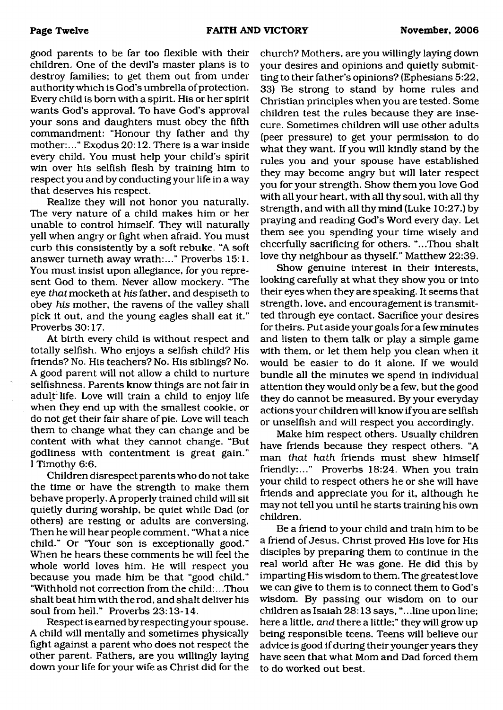good parents to be far too flexible with their children. One of the devil's master plans is to destroy families; to get them out from under authority which is God's umbrella of protection. Every child is born with a spirit. His or her spirit wants God's approval. To have God's approval your sons and daughters must obey the fifth commandment: "Honour thy father and thy mother:..." Exodus 20:12. There is a war inside every child. You must help your child's spirit win over his selfish flesh by training him to respect you and by conducting your life in a way that deserves his respect.

Realize they will not honor you naturally. The very nature of a child makes him or her unable to control himself. They will naturally yell when angry or fight when afraid. You must curb this consistently by a soft rebuke. "A soft answer tumeth away wrath:..." Proverbs 15:1. You must insist upon allegiance, for you represent God to them. Never allow mockery. 'The eye *that* mocketh at *his* father, and despiseth to obey *his* mother, the ravens of the valley shall pick it out, and the young eagles shall eat it." Proverbs 30:17.

At birth every child is without respect and totally selfish. Who enjoys a selfish child? His friends? No. His teachers? No. His siblings? No. A good parent will not allow a child to nurture selfishness. Parents know things are not fair in adult'life. Love will train a child to enjoy life when they end up with the smallest cookie, or do not get their fair share of pie. Love will teach them to change what they can change and be content with what they cannot change. "But godliness with contentment is great gain." I Timothy 6:6.

Children disrespect parents who do not take the time or have the strength to make them behave properly. A properly trained child will sit quietly during worship, be quiet while Dad (or others) are resting or adults are conversing. Then he will hear people comment, "What a nice child." Or "Your son is exceptionally good." When he hears these comments he will feel the whole world loves him. He will respect you because you made him be that "good child." "Withhold not correction from the child:...Thou shalt beat him with the rod, and shalt deliver his soul from hell." Proverbs 23:13-14.

Respect is earned by respecting your spouse. A child will mentally and sometimes physically fight against a parent who does not respect the other parent. Fathers, are you willingly laying down your life for your wife as Christ did for the church? Mothers, are you willingly laying down your desires and opinions and quietly submitting to their father's opinions? (Ephesians 5:22, 33) Be strong to stand by home rules and Christian principles when you are tested. Some children test the rules because they are insecure. Sometimes children will use other adults (peer pressure) to get your permission to do what they want. If you will kindly stand by the rules you and your spouse have established they may become angry but will later respect you for your strength. Show them you love God with all your heart, with all thy soul, with all thy strength, and with all thy mind (Luke 10:27.) by praying and reading God's Word every day. Let them see you spending your time wisely and cheerfully sacrificing for others. "...Thou shalt love thy neighbour as thyself." Matthew 22:39.

Show genuine interest in their interests, looking carefully at what they show you or into their eyes when they are speaking. It seems that strength, love, and encouragement is transmitted through eye contact. Sacrifice your desires for theirs. Put aside your goals for a few minutes and listen to them talk or play a simple game with them, or let them help you clean when it would be easier to do it alone. If we would bundle all the minutes we spend in individual attention they would only be a few, but the good they do cannot be measured. By your everyday actions your children will know if you are selfish or unselfish and will respect you accordingly.

Make him respect others. Usually children have friends because they respect others. "A man *that hath* friends must shew himself friendly:..." Proverbs 18:24. When you train your child to respect others he or she will have friends and appreciate you for it, although he may not tell you until he starts training his own children.

Be a friend to your child and train him to be a friend of Jesus. Christ proved His love for His disciples by preparing them to continue in the real world after He was gone. He did this by imparting His wisdom to them. The greatest love we can give to them is to connect them to God's wisdom. By passing our wisdom on to our children as Isaiah 28:13 says, "...line upon line; here a little, *and* there a little;" they will grow up being responsible teens. Teens will believe our advice is good if during their younger years they have seen that what Mom and Dad forced them to do worked out best.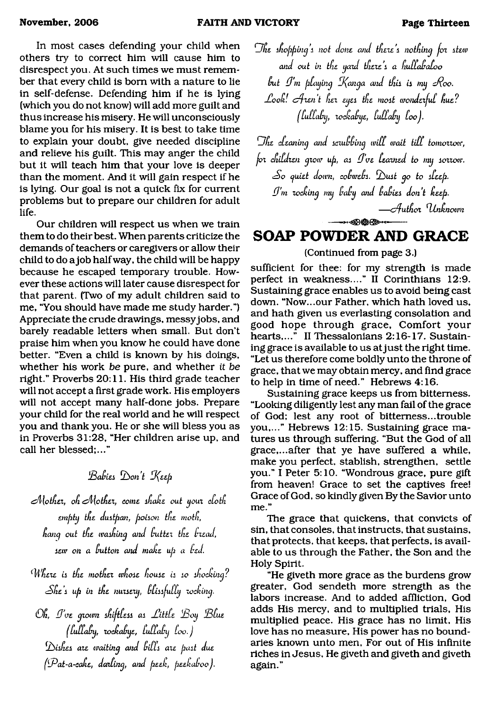In most cases defending your child when others try to correct him will cause him to disrespect you. At such times we must remember that every child is bom with a nature to lie in self-defense. Defending him if he is lying (which you do not know) will add more guilt and thus increase his misery. He will unconsciously blame you for his misery. It is best to take time to explain your doubt, give needed discipline and relieve his guilt. This may anger the child but it will teach him that your love is deeper than the moment. And it will gain respect if he is lying. Our goal is not a quick fix for current problems but to prepare our children for adult life.

Our children will respect us when we train them to do their best. When parents criticize the demands of teachers or caregivers or allow their child to do a job half way, the child will be happy because he escaped temporary trouble. However these actions will later cause disrespect for that parent. (Two of my adult children said to me, "You should have made me study harder.") Appreciate the crude drawings, messyjobs, and barely readable letters when small. But don't praise him when you know he could have done better. "Even a child is known by his doings, whether his work *be* pure, and whether *it be* right." Proverbs 20:11. His third grade teacher will not accept a first grade work. His employers will not accept many half-done jobs. Prepare your child for the real world and he will respect you and thank you. He or she will bless you as in Proverbs 31:28, "Her children arise up, and call her blessed;..."

## *bBabiei b on 't 0(eep*

*Mother, oh Mother, come shake out your cloth emptg tfie duitpan, potion the motfi, hang out tfie waihing and buttez the bzead, iew on a button and make up a bed.*

Where is the mother whose house is so shocking? *zShe i up in the nunezg, bbiajubbg locking.*

*Oh, 0'oe gzown ikiftbea ai Jltttle H3og !Bbue Ibulbabg, zockabge, Lulbabg loo.J d^Lihei ate waiting and bilfi aie pait due (bPat-a-cake, dazling, and peek, peekaboo}.*

*Dhe ihopping* l *not done and theie* i *nothing jot itew and out in the gazd theie i a huffababoo* but I'm playing Kanga and this is my Roo. *-Hooh! crfzen t hez egei the moit wondezfub hue? Ifubfabg, zochabge, bultabg boo}.*

*Dhe cbeanuig and iczubbing wibb wait tibb tomozzow, joz cfiibdzen gzow up, ai 0've beamed to mg iozzow. sSo cjuiet down, cobwebi. f0>ust go to ibeep. 0 'm locking mg babg and babiei don't keep.* — *c/futh oz ^Ltnknown*

## **SOAP POWDER AND GRACE**

ໞ<del>∕©}©©≫</del>⊶

(Continued from page 3.)

sufficient for thee: for my strength is made perfect in weakness...." II Corinthians 12:9. Sustaining grace enables us to avoid being cast down. "Now...our Father, which hath loved us, and hath given us everlasting consolation and good hope through grace, Comfort your hearts,..." II Thessalonians 2:16-17. Sustaining grace is available to us at just the right time. "Let us therefore come boldly unto the throne of grace, that we may obtain mercy, and find grace to help in time of need." Hebrews 4:16.

Sustaining grace keeps us from bitterness. "Looking diligently lest any man fail of the grace of God; lest any root of bitterness...trouble you,..." Hebrews 12:15. Sustaining grace matures us through suffering. "But the God of all grace,...after that ye have suffered a while, make you perfect, stablish, strengthen, settle you." I Peter 5:10. "Wondrous grace, pure gift from heaven! Grace to set the captives free! Grace of God, so kindly given By the Savior unto me."

The grace that quickens, that convicts of sin, that consoles, that instructs, that sustains, that protects, that keeps, that perfects, is available to us through the Father, the Son and the Holy Spirit.

"He giveth more grace as the burdens grow greater, God sendeth more strength as the labors increase. And to added affliction, God adds His mercy, and to multiplied trials. His multiplied peace. His grace has no limit. His love has no measure, His power has no boundaries known unto men. For out of His infinite riches in Jesus, He giveth and giveth and giveth again."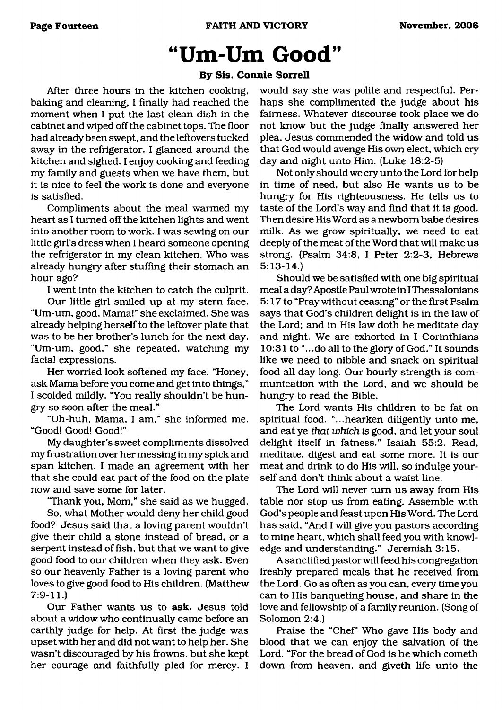# **"Um-Um Good"**

#### **By Sis. Connie Sorrell**

After three hours in the kitchen cooking, baking and cleaning, I finally had reached the moment when I put the last clean dish in the cabinet and wiped off the cabinet tops. The floor had already been swept, and the leftovers tucked away in the refrigerator. I glanced around the kitchen and sighed. I enjoy cooking and feeding my family and guests when we have them, but it is nice to feel the work is done and everyone is satisfied.

Compliments about the meal warmed my heart as I turned off the kitchen lights and went into another room to work. I was sewing on our little girl's dress when I heard someone opening the refrigerator in my clean kitchen. Who was already hungry after stuffing their stomach an hour ago?

I went into the kitchen to catch the culprit.

Our little girl smiled up at my stern face. "Um-um, good. Mama!" she exclaimed. She was already helping herself to the leftover plate that was to be her brother's lunch for the next day. "Um-um, good," she repeated, watching my facial expressions.

Her worried look softened my face. "Honey, ask Mama before you come and get into things," I scolded mildly. "You really shouldn't be hungry so soon after the meal."

"Uh-huh, Mama, I am," she informed me. "Good! Good! Good!"

My daughter's sweet compliments dissolved my frustration over her messing in my spick and span kitchen. I made an agreement with her that she could eat part of the food on the plate now and save some for later.

"Thank you, Mom," she said as we hugged.

So, what Mother would deny her child good food? Jesus said that a loving parent wouldn't give their child a stone instead of bread, or a serpent instead of fish, but that we want to give good food to our children when they ask. Even so our heavenly Father is a loving parent who loves to give good food to His children. (Matthew 7:9-11.)

Our Father wants us to **ask.** Jesus told about a widow who continually came before an earthly judge for help. At first the judge was upset with her and did not want to help her. She wasn't discouraged by his frowns, but she kept her courage and faithfully pled for mercy. I would say she was polite and respectful. Perhaps she complimented the judge about his fairness. Whatever discourse took place we do not know but the judge finally answered her plea. Jesus commended the widow and told us that God would avenge His own elect, which cry day and night unto Him. (Luke 18:2-5)

Not only should we cry unto the Lord for help in time of need, but also He wants us to be hungry for His righteousness. He tells us to taste of the Lord's way and find that it is good. Then desire His Word as a newborn babe desires milk. As we grow spiritually, we need to eat deeply of the meat of the Word that will make us strong. (Psalm 34:8, I Peter 2:2-3, Hebrews 5:13-14.)

Should we be satisfied with one big spiritual meal a day? Apostle Paul wrote in I Thessalonians 5:17 to "Pray without ceasing" or the first Psalm says that God's children delight is in the law of the Lord; and in His law doth he meditate day and night. We are exhorted in I Corinthians 10:31 to "...do all to the glory of God." It sounds like we need to nibble and snack on spiritual food all day long. Our hourly strength is communication with the Lord, and we should be hungry to read the Bible.

The Lord wants His children to be fat on spiritual food, "...hearken diligently unto me, and eat ye *that which is* good, and let your soul delight itself in fatness." Isaiah 55:2. Read, meditate, digest and eat some more. It is our meat and drink to do His will, so indulge yourself and don't think about a waist line.

The Lord will never turn us away from His table nor stop us from eating. Assemble with God's people and feast upon His Word. The Lord has said, "And I will give you pastors according to mine heart, which shall feed you with knowledge and understanding." Jeremiah 3:15.

A sanctified pastor will feed his congregation freshly prepared meals that he received from the Lord. Go as often as you can, every time you can to His banqueting house, and share in the love and fellowship of a family reunion. (Song of Solomon 2:4.)

Praise the "Chef' Who gave His body and blood that we can enjoy the salvation of the Lord. "For the bread of God is he which cometh down from heaven, and giveth life unto the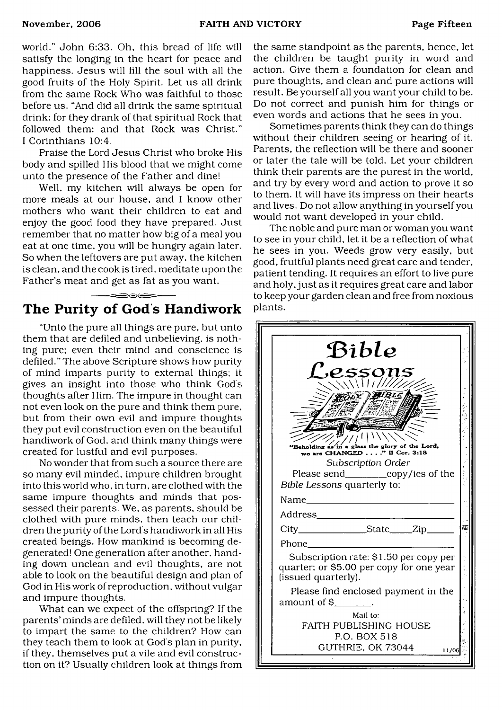world." John 6:33. Oh, this bread of life will satisfy the longing in the heart for peace and happiness. Jesus will fill the soul with all the good fruits of the Holy Spirit. Let us all drink from the same Rock Who was faithful to those before us. "And did all drink the same spiritual drink: for they drank of that spiritual Rock that followed them: and that Rock was Christ." I Corinthians 10:4.

Praise the Lord Jesus Christ who broke His body and spilled His blood that we might come unto the presence of the Father and dine!

Well, my kitchen will always be open for more meals at our house, and I know other mothers who want their children to eat and enjoy the good food they have prepared. Just remember that no matter how big of a meal you eat at one time, you will be hungry again later. So when the leftovers are put away, the kitchen is clean, and the cook is tired, meditate upon the Father's meat and get as fat as you want.

## <span id="page-14-0"></span>**The Purity of God's Handiwork**

 $\frac{1}{\sqrt{2}}\left( \frac{1}{\sqrt{2}}\frac{1}{\sqrt{2}}\right) \left( \frac{1}{\sqrt{2}}\frac{1}{\sqrt{2}}\frac{1}{\sqrt{2}}\frac{1}{\sqrt{2}}\right) \left( \frac{1}{\sqrt{2}}\frac{1}{\sqrt{2}}\frac{1}{\sqrt{2}}\frac{1}{\sqrt{2}}\right) \left( \frac{1}{\sqrt{2}}\frac{1}{\sqrt{2}}\frac{1}{\sqrt{2}}\frac{1}{\sqrt{2}}\right) \left( \frac{1}{\sqrt{2}}\frac{1}{\sqrt{2}}\frac{1}{\sqrt{2}}\frac{1}{\sqrt{2}}\right)$ 

"Unto the pure all things are pure, but unto them that are defiled and unbelieving, is nothing pure; even their mind and conscience is defiled." The above Scripture shows how purity of mind imparts purity to external things; it gives an insight into those who think Gods thoughts after Him. The impure in thought can not even look on the pure and think them pure, but from their own evil and impure thoughts they put evil construction even on the beautiful handiwork of God. and think many things were created for lustful and evil purposes.

No wonder that from such a source there are so many evil minded, impure children brought into this world who, in turn, are clothed with the same impure thoughts and minds that possessed their parents. We, as parents, should be clothed with pure minds, then teach our children the purity of the Lord's handiwork in all His created beings. How mankind is becoming degenerated! One generation after another, handing down unclean and evil thoughts, are not able to look on the beautiful design and plan of God in His work of reproduction, without vulgar and impure thoughts.

What can we expect of the offspring? If the parents' minds are defiled, will they not be likely to impart the same to the children? How can they teach them to look at God's plan in purity, if they, themselves put a vile and evil construction on it? Usually children look at things from

the same standpoint as the parents, hence, let the children be taught purity in word and action. Give them a foundation for clean and pure thoughts, and clean and pure actions will result. Be yourself all you want your child to be. Do not correct and punish him for things or even words and actions that he sees in you.

Sometimes parents think they can do things without their children seeing or hearing of it. Parents, the reflection will be there and sooner or later the tale will be told. Let your children think their parents are the purest in the world, and try by every word and action to prove it so to them. It will have its impress on their hearts and lives. Do not allow anything in yourself you would not want developed in your child.

The noble and pure man or woman you want to see in your child, let it be a reflection of what he sees in you. Weeds grow very easily, but good, fruitful plants need great care and tender, patient tending. It requires an effort to live pure and holy, just as it requires great care and labor to keep your garden clean and free from noxious plants.

| Bible<br>L'essons<br><i>NUTITIN</i>                                                                       |  |
|-----------------------------------------------------------------------------------------------------------|--|
| <i>UBLE</i><br>"Beholding as<br>in a glass the glory of the Lord,<br>we are CHANGED" If Cor. 3:18         |  |
| Subscription Order<br>Please send_____________copy/ies of the<br>Bible Lessons quarterly to:              |  |
|                                                                                                           |  |
| City_________________State_____Zip______<br>Phone                                                         |  |
| Subscription rate: \$1.50 per copy per<br>quarter; or \$5.00 per copy for one year<br>(issued quarterly). |  |
| Please find enclosed payment in the<br>amount of $\mathsf{S}$ $\qquad \qquad$ .                           |  |
| Mail to:<br>FAITH PUBLISHING HOUSE<br>P.O. BOX 518                                                        |  |
| GUTHRIE, OK 73044<br>11/06                                                                                |  |